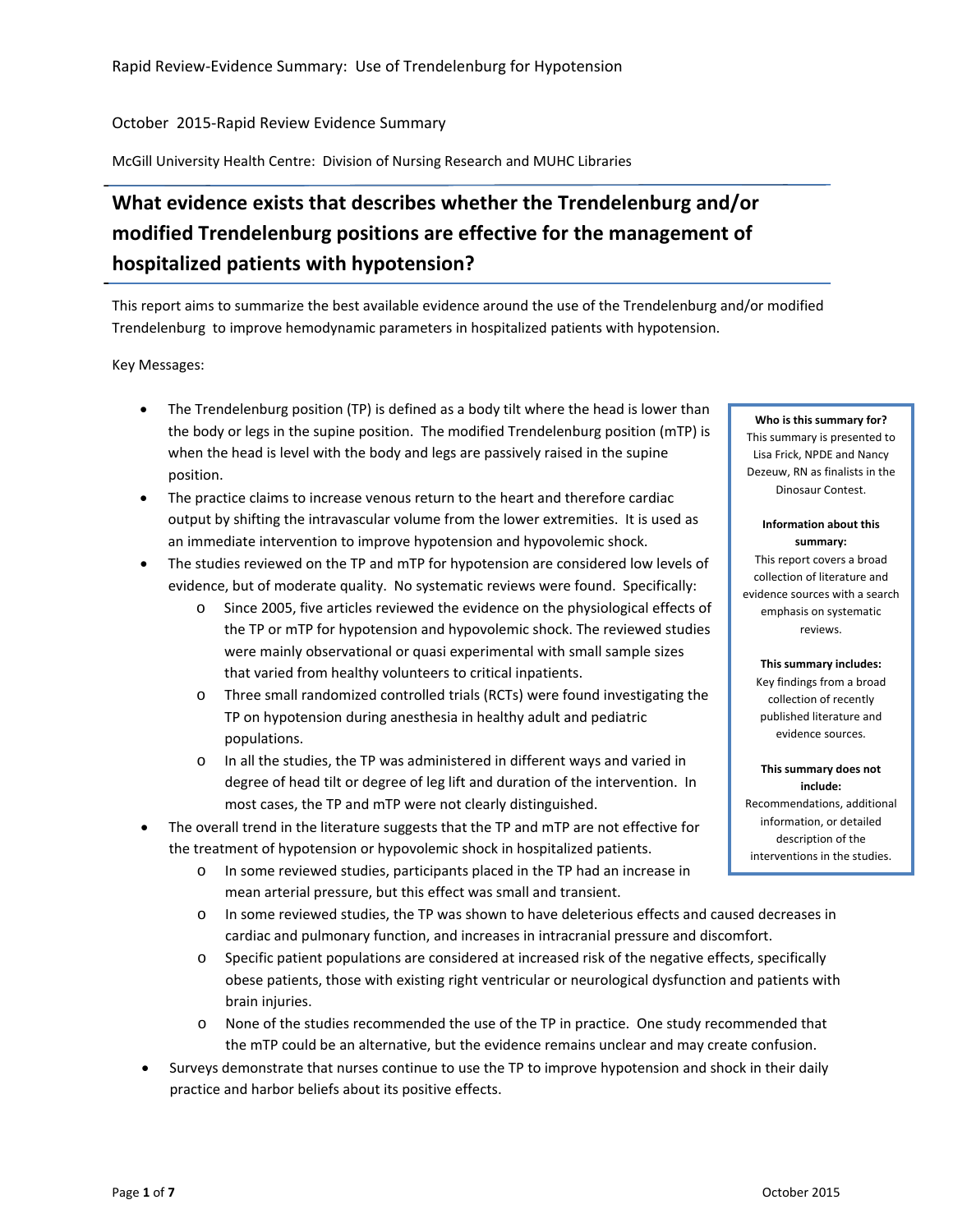October 2015‐Rapid Review Evidence Summary

McGill University Health Centre: Division of Nursing Research and MUHC Libraries

# **What evidence exists that describes whether the Trendelenburg and/or modified Trendelenburg positions are effective for the management of hospitalized patients with hypotension?**

This report aims to summarize the best available evidence around the use of the Trendelenburg and/or modified Trendelenburg to improve hemodynamic parameters in hospitalized patients with hypotension.

Key Messages:

- The Trendelenburg position (TP) is defined as a body tilt where the head is lower than the body or legs in the supine position. The modified Trendelenburg position (mTP) is when the head is level with the body and legs are passively raised in the supine position.
- The practice claims to increase venous return to the heart and therefore cardiac output by shifting the intravascular volume from the lower extremities. It is used as an immediate intervention to improve hypotension and hypovolemic shock.
- The studies reviewed on the TP and mTP for hypotension are considered low levels of evidence, but of moderate quality. No systematic reviews were found. Specifically:
	- o Since 2005, five articles reviewed the evidence on the physiological effects of the TP or mTP for hypotension and hypovolemic shock. The reviewed studies were mainly observational or quasi experimental with small sample sizes that varied from healthy volunteers to critical inpatients.
	- o Three small randomized controlled trials (RCTs) were found investigating the TP on hypotension during anesthesia in healthy adult and pediatric populations.
	- o In all the studies, the TP was administered in different ways and varied in degree of head tilt or degree of leg lift and duration of the intervention. In most cases, the TP and mTP were not clearly distinguished.
- The overall trend in the literature suggests that the TP and mTP are not effective for the treatment of hypotension or hypovolemic shock in hospitalized patients.
	- o In some reviewed studies, participants placed in the TP had an increase in mean arterial pressure, but this effect was small and transient.
	- o In some reviewed studies, the TP was shown to have deleterious effects and caused decreases in cardiac and pulmonary function, and increases in intracranial pressure and discomfort.
	- o Specific patient populations are considered at increased risk of the negative effects, specifically obese patients, those with existing right ventricular or neurological dysfunction and patients with brain injuries.
	- o None of the studies recommended the use of the TP in practice. One study recommended that the mTP could be an alternative, but the evidence remains unclear and may create confusion.
- Surveys demonstrate that nurses continue to use the TP to improve hypotension and shock in their daily practice and harbor beliefs about its positive effects.

#### **Who is this summary for?**

This summary is presented to Lisa Frick, NPDE and Nancy Dezeuw, RN as finalists in the Dinosaur Contest.

#### **Information about this summary:**

This report covers a broad collection of literature and evidence sources with a search emphasis on systematic reviews.

**This summary includes:** Key findings from a broad collection of recently published literature and evidence sources.

**This summary does not include:** Recommendations, additional information, or detailed description of the interventions in the studies.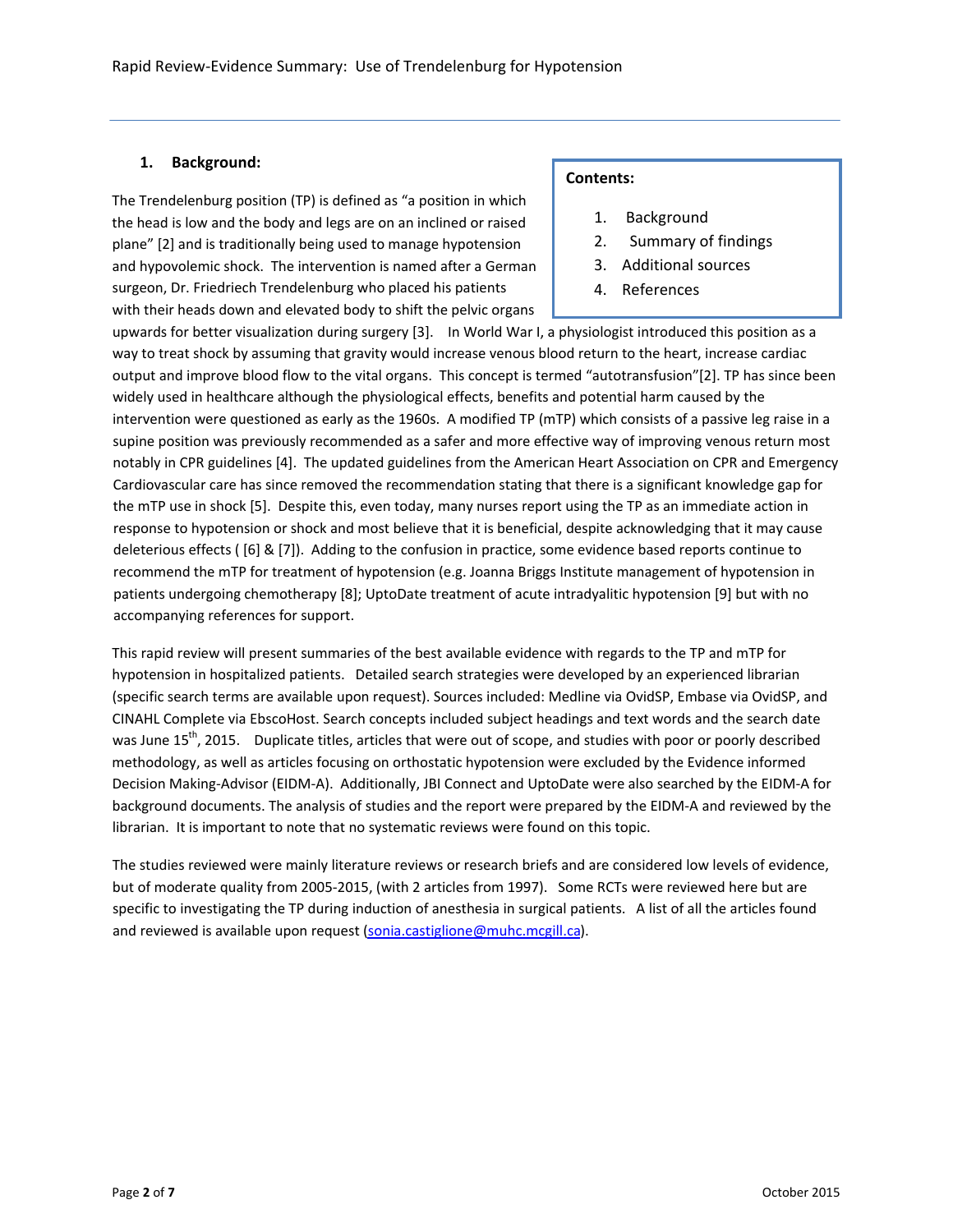# **1. Background:**

The Trendelenburg position (TP) is defined as "a position in which the head is low and the body and legs are on an inclined or raised plane" [\[2](#page-5-0)] and is traditionally being used to manage hypotension and hypovolemic shock. The intervention is named after a German surgeon, Dr. Friedriech Trendelenburg who placed his patients with their heads down and elevated body to shift the pelvic organs

## **Contents:**

- 1. Background
- 2. Summary of findings
- 3. Additional sources
- 4. References

upwards for better visualization during surgery [\[3](#page-5-0)]. In World War I, a physiologist introduced this position as a way to treat shock by assuming that gravity would increase venous blood return to the heart, increase cardiac output and improve blood flow to the vital organs. This concept is termed "autotransfusion"[\[2](#page-5-0)]. TP has since been widely used in healthcare although the physiological effects, benefits and potential harm caused by the intervention were questioned as early as the 1960s. A modified TP (mTP) which consists of a passive leg raise in a supine position was previously recommended as a safer and more effective way of improving venous return most notably in CPR guidelines [\[4](#page-5-0)]. The updated guidelines from the American Heart Association on CPR and Emergency Cardiovascular care has since removed the recommendation stating that there is a significant knowledge gap for the mTP use in shock [\[5](#page-5-0)]. Despite this, even today, many nurses report using the TP as an immediate action in response to hypotension or shock and most believe that it is beneficial, despite acknowledging that it may cause deleterious effects ( [\[6](#page-5-0)] & [\[7](#page-6-0)]). Adding to the confusion in practice, some evidence based reports continue to recommend the mTP for treatment of hypotension (e.g. Joanna Briggs Institute management of hypotension in patients undergoing chemotherapy [\[8](#page-6-0)]; UptoDate treatment of acute intradyalitic hypotension [\[9](#page-6-0)] but with no accompanying references for support.

This rapid review will present summaries of the best available evidence with regards to the TP and mTP for hypotension in hospitalized patients. Detailed search strategies were developed by an experienced librarian (specific search terms are available upon request). Sources included: Medline via OvidSP, Embase via OvidSP, and CINAHL Complete via EbscoHost. Search concepts included subject headings and text words and the search date was June 15<sup>th</sup>, 2015. Duplicate titles, articles that were out of scope, and studies with poor or poorly described methodology, as well as articles focusing on orthostatic hypotension were excluded by the Evidence informed Decision Making‐Advisor (EIDM‐A). Additionally, JBI Connect and UptoDate were also searched by the EIDM‐A for background documents. The analysis of studies and the report were prepared by the EIDM‐A and reviewed by the librarian. It is important to note that no systematic reviews were found on this topic.

The studies reviewed were mainly literature reviews or research briefs and are considered low levels of evidence, but of moderate quality from 2005‐2015, (with 2 articles from 1997). Some RCTs were reviewed here but are specific to investigating the TP during induction of anesthesia in surgical patients. A list of all the articles found and reviewed is available upon request [\(sonia.castiglione@muhc.mcgill.ca\)](mailto:sonia.castiglione@muhc.mcgill.ca).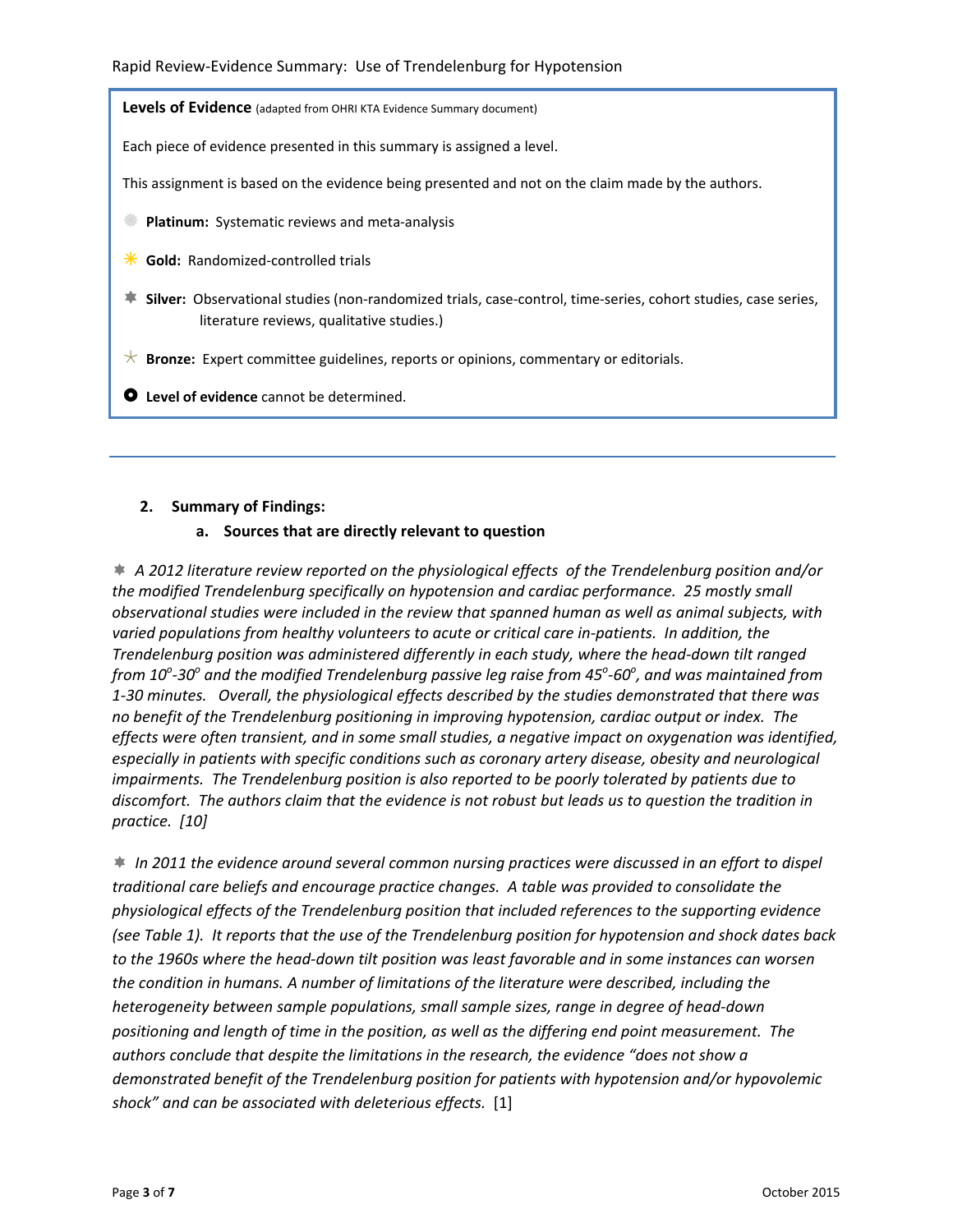**Levels of Evidence** (adapted from OHRI KTA Evidence Summary document)

Each piece of evidence presented in this summary is assigned a level.

This assignment is based on the evidence being presented and not on the claim made by the authors.

**Platinum:** Systematic reviews and meta-analysis

 $★$  **Gold:** Randomized-controlled trials

- **≢ Silver:** Observational studies (non-randomized trials, case-control, time-series, cohort studies, case series, literature reviews, qualitative studies.)
- $\star$  **Bronze:** Expert committee guidelines, reports or opinions, commentary or editorials.

~ **Level of evidence** cannot be determined.

## **2. Summary of Findings:**

## **a. Sources that are directly relevant to question**

Î *A 2012 literature review reported on the physiological effects of the Trendelenburg position and/or the modified Trendelenburg specifically on hypotension and cardiac performance. 25 mostly small observational studies were included in the review that spanned human as well as animal subjects, with varied populations from healthy volunteers to acute or critical care in‐patients. In addition, the Trendelenburg position was administered differently in each study, where the head‐down tilt ranged* from 10 $^{\rm o}$ -30 $^{\rm o}$  and the modified Trendelenburg passive leg raise from 45 $^{\rm o}$ -60 $^{\rm o}$ , and was maintained from *1‐30 minutes. Overall, the physiological effects described by the studies demonstrated that there was no benefit of the Trendelenburg positioning in improving hypotension, cardiac output or index. The effects were often transient, and in some small studies, a negative impact on oxygenation was identified, especially in patients with specific conditions such as coronary artery disease, obesity and neurological impairments. The Trendelenburg position is also reported to be poorly tolerated by patients due to* discomfort. The authors claim that the evidence is not robust but leads us to question the tradition in *practice. [[10](#page-6-0)]*

Î *In 2011 the evidence around several common nursing practices were discussed in an effort to dispel traditional care beliefs and encourage practice changes. A table was provided to consolidate the physiological effects of the Trendelenburg position that included references to the supporting evidence* (see Table 1). It reports that the use of the Trendelenburg position for hypotension and shock dates back to the 1960s where the head-down tilt position was least favorable and in some instances can worsen *the condition in humans. A number of limitations of the literature were described, including the heterogeneity between sample populations, small sample sizes, range in degree of head‐down positioning and length of time in the position, as well as the differing end point measurement. The authors conclude that despite the limitations in the research, the evidence "does not show a demonstrated benefit of the Trendelenburg position for patients with hypotension and/or hypovolemic shock" and can be associated with deleterious effects.* [\[1](#page-5-0)]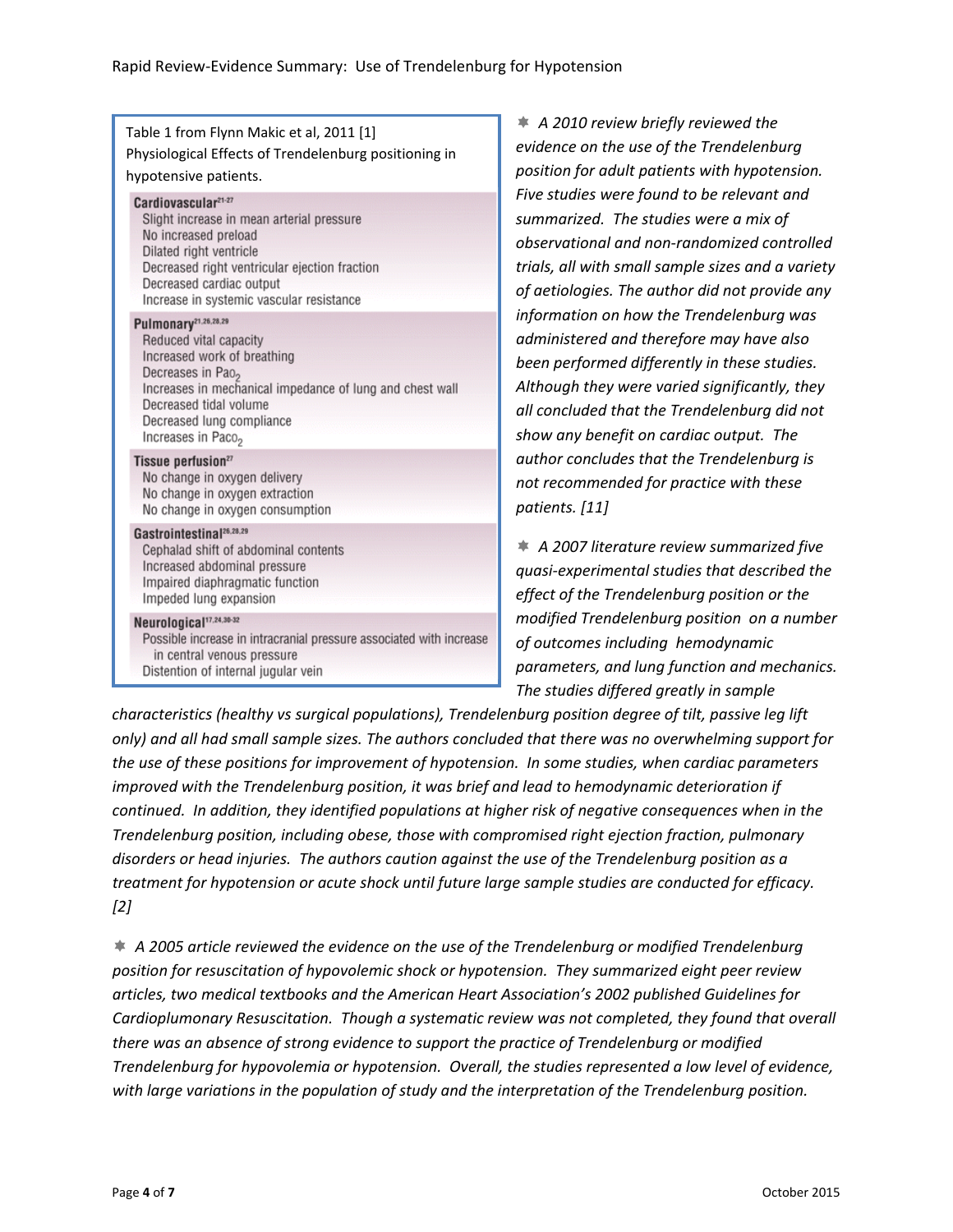| Table 1 from Flynn Makic et al, 2011 [1]<br>Physiological Effects of Trendelenburg positioning in<br>hypotensive patients.                                                                                                                                                      | $A$ 2<br>★.<br>evider<br>positio                       |
|---------------------------------------------------------------------------------------------------------------------------------------------------------------------------------------------------------------------------------------------------------------------------------|--------------------------------------------------------|
| Cardiovascular <sup>21-27</sup><br>Slight increase in mean arterial pressure<br>No increased preload<br>Dilated right ventricle<br>Decreased right ventricular ejection fraction<br>Decreased cardiac output<br>Increase in systemic vascular resistance                        | Five st<br>summ<br>obser<br>trials,<br>of aet          |
| Pulmonary <sup>21,26,28,29</sup><br>Reduced vital capacity<br>Increased work of breathing<br>Decreases in Pao <sub>2</sub><br>Increases in mechanical impedance of lung and chest wall<br>Decreased tidal volume<br>Decreased lung compliance<br>Increases in Paco <sub>2</sub> | inforn<br>admir<br>been J<br>Althol<br>all cor<br>show |
| Tissue perfusion <sup>27</sup><br>No change in oxygen delivery<br>No change in oxygen extraction<br>No change in oxygen consumption                                                                                                                                             | autho<br>not re<br>patier                              |
| Gastrointestinal <sup>26,28,29</sup><br>Cephalad shift of abdominal contents<br>Increased abdominal pressure<br>Impaired diaphragmatic function<br>Impeded lung expansion                                                                                                       | $\ast$ A2<br>quasi-<br>effect                          |
| Neurological <sup>17,24,30-32</sup><br>Possible increase in intracranial pressure associated with increase<br>in central venous pressure<br>Distention of internal jugular vein                                                                                                 | modif<br>of out<br>paran<br>The st                     |

Î *A 2010 review briefly reviewed the evidence on the use of the Trendelenburg position for adult patients with hypotension. Five studies were found to be relevant and summarized. The studies were a mix of observational and non‐randomized controlled trials, all with small sample sizes and a variety of aetiologies. The author did not provide any information on how the Trendelenburg was administered and therefore may have also been performed differently in these studies. Although they were varied significantly, they all concluded that the Trendelenburg did not show any benefit on cardiac output. The author concludes that the Trendelenburg is not recommended for practice with these patients. [\[11\]](#page-6-0)* 

Î *A 2007 literature review summarized five quasi‐experimental studies that described the effect of the Trendelenburg position or the modified Trendelenburg position on a number of outcomes including hemodynamic parameters, and lung function and mechanics. The studies differed greatly in sample*

*characteristics (healthy vs surgical populations), Trendelenburg position degree of tilt, passive leg lift only) and all had small sample sizes. The authors concluded that there was no overwhelming support for the use of these positions for improvement of hypotension. In some studies, when cardiac parameters improved with the Trendelenburg position, it was brief and lead to hemodynamic deterioration if continued. In addition, they identified populations at higher risk of negative consequences when in the Trendelenburg position, including obese, those with compromised right ejection fraction, pulmonary disorders or head injuries. The authors caution against the use of the Trendelenburg position as a treatment for hypotension or acute shock until future large sample studies are conducted for efficacy. [\[2](#page-5-0)]*

Î *A 2005 article reviewed the evidence on the use of the Trendelenburg or modified Trendelenburg position for resuscitation of hypovolemic shock or hypotension. They summarized eight peer review articles, two medical textbooks and the American Heart Association's 2002 published Guidelines for Cardioplumonary Resuscitation. Though a systematic review was not completed, they found that overall there was an absence of strong evidence to support the practice of Trendelenburg or modified Trendelenburg for hypovolemia or hypotension. Overall, the studies represented a low level of evidence, with large variations in the population of study and the interpretation of the Trendelenburg position.*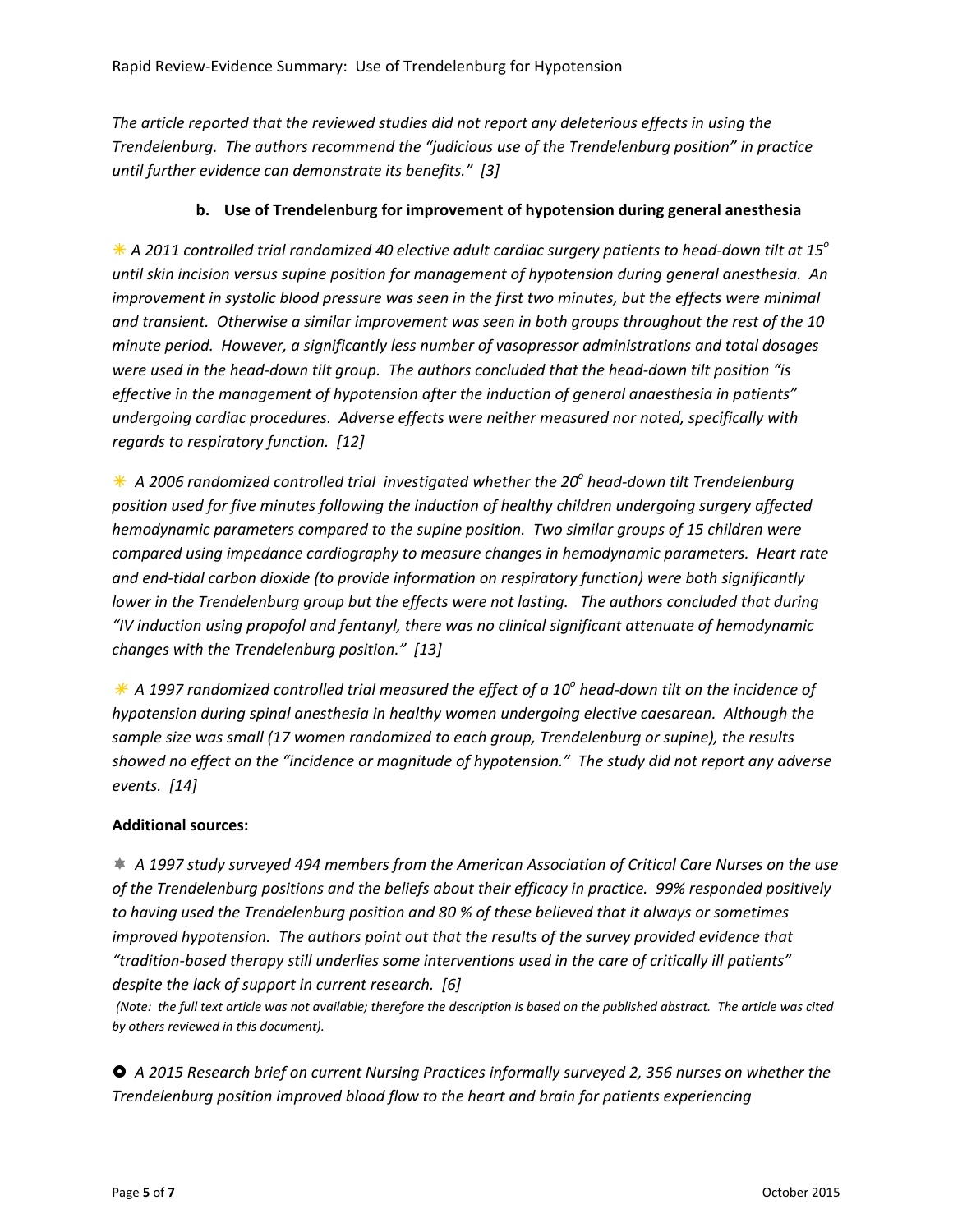*The article reported that the reviewed studies did not report any deleterious effects in using the Trendelenburg. The authors recommend the "judicious use of the Trendelenburg position" in practice until further evidence can demonstrate its benefits." [\[3\]](#page-5-0)*

# **b. Use of Trendelenburg for improvement of hypotension during general anesthesia**

\* A 2011 controlled trial randomized 40 elective adult cardiac surgery patients to head-down tilt at 15° *until skin incision versus supine position for management of hypotension during general anesthesia. An improvement in systolic blood pressure was seen in the first two minutes, but the effects were minimal* and transient. Otherwise a similar improvement was seen in both groups throughout the rest of the 10 *minute period. However, a significantly less number of vasopressor administrations and total dosages* were used in the head-down tilt group. The authors concluded that the head-down tilt position "is *effective in the management of hypotension after the induction of general anaesthesia in patients" undergoing cardiac procedures. Adverse effects were neither measured nor noted, specifically with regards to respiratory function. [[12\]](#page-6-0)*

Ã *A 2006 randomized controlled trial investigated whether the 20o head‐down tilt Trendelenburg position used for five minutes following the induction of healthy children undergoing surgery affected hemodynamic parameters compared to the supine position. Two similar groups of 15 children were compared using impedance cardiography to measure changes in hemodynamic parameters. Heart rate and end‐tidal carbon dioxide (to provide information on respiratory function) were both significantly lower in the Trendelenburg group but the effects were not lasting. The authors concluded that during "IV induction using propofol and fentanyl, there was no clinical significant attenuate of hemodynamic changes with the Trendelenburg position." [\[13\]](#page-6-0)*

 $*$  A 1997 randomized controlled trial measured the effect of a 10<sup>o</sup> head-down tilt on the incidence of *hypotension during spinal anesthesia in healthy women undergoing elective caesarean. Although the sample size was small (17 women randomized to each group, Trendelenburg or supine), the results* showed no effect on the "incidence or magnitude of hypotension." The study did not report any adverse *events. [\[14](#page-6-0)]*

# **Additional sources:**

 $\ast$  A 1997 study surveyed 494 members from the American Association of Critical Care Nurses on the use *of the Trendelenburg positions and the beliefs about their efficacy in practice. 99% responded positively to having used the Trendelenburg position and 80 % of these believed that it always or sometimes improved hypotension. The authors point out that the results of the survey provided evidence that "tradition‐based therapy still underlies some interventions used in the care of critically ill patients" despite the lack of support in current research. [\[6\]](#page-5-0)*

(Note: the full text article was not available; therefore the description is based on the published abstract. The article was cited *by others reviewed in this document).*

~ *A 2015 Research brief on current Nursing Practices informally surveyed 2, 356 nurses on whether the Trendelenburg position improved blood flow to the heart and brain for patients experiencing*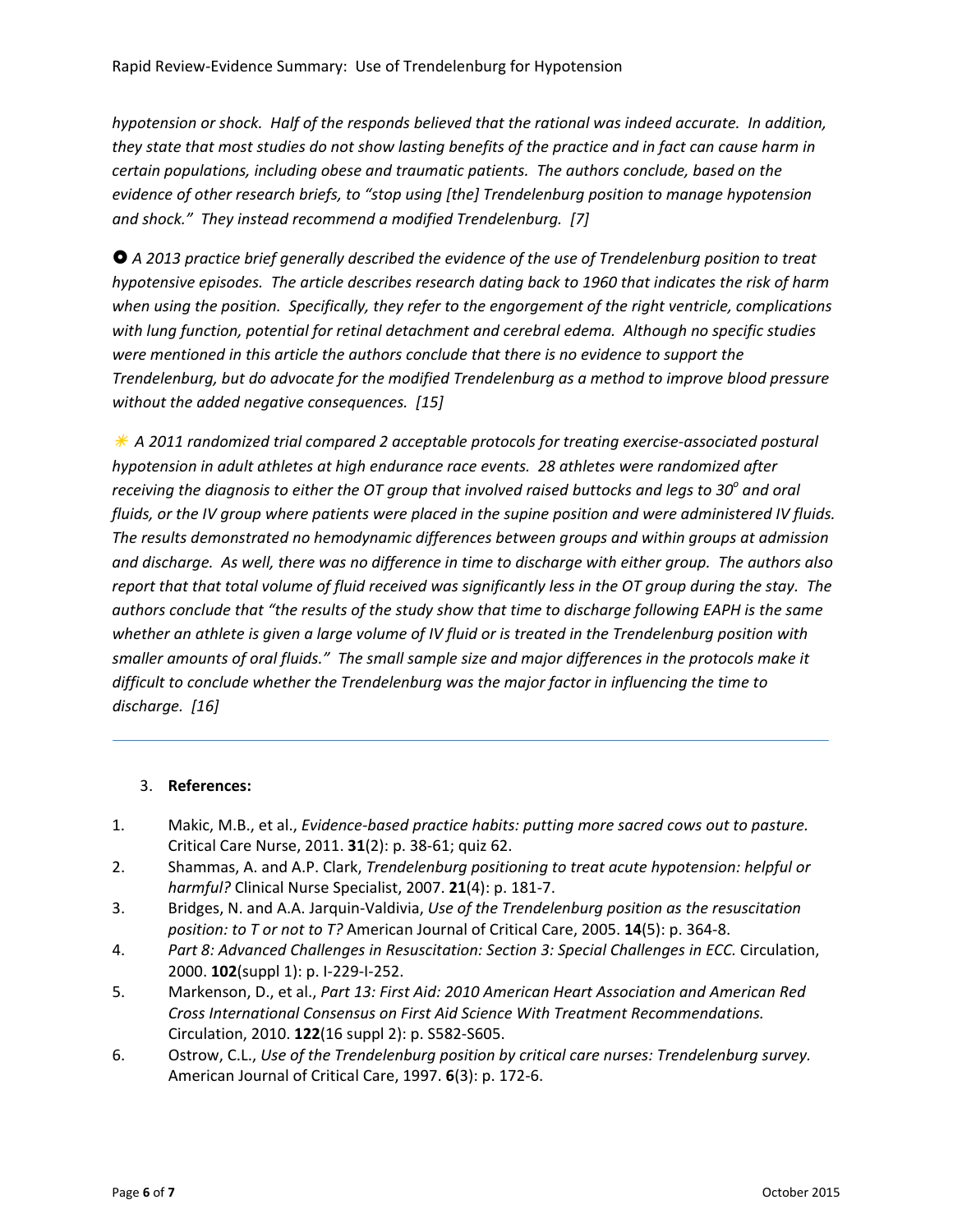<span id="page-5-0"></span>hypotension or shock. Half of the responds believed that the rational was indeed accurate. In addition, they state that most studies do not show lasting benefits of the practice and in fact can cause harm in *certain populations, including obese and traumatic patients. The authors conclude, based on the evidence of other research briefs, to "stop using [the] Trendelenburg position to manage hypotension and shock." They instead recommend a modified Trendelenburg. [[7](#page-6-0)]*

~ *A 2013 practice brief generally described the evidence of the use of Trendelenburg position to treat hypotensive episodes. The article describes research dating back to 1960 that indicates the risk of harm when using the position. Specifically, they refer to the engorgement of the right ventricle, complications with lung function, potential for retinal detachment and cerebral edema. Although no specific studies were mentioned in this article the authors conclude that there is no evidence to support the Trendelenburg, but do advocate for the modified Trendelenburg as a method to improve blood pressure without the added negative consequences. [\[15\]](#page-6-0)*

Ã *A 2011 randomized trial compared 2 acceptable protocols for treating exercise‐associated postural hypotension in adult athletes at high endurance race events. 28 athletes were randomized after* receiving the diagnosis to either the OT group that involved raised buttocks and legs to 30 $^{\circ}$  and oral fluids, or the IV group where patients were placed in the supine position and were administered IV fluids. *The results demonstrated no hemodynamic differences between groups and within groups at admission* and discharge. As well, there was no difference in time to discharge with either group. The authors also report that that total volume of fluid received was significantly less in the OT group during the stay. The authors conclude that "the results of the study show that time to discharge following EAPH is the same whether an athlete is given a large volume of IV fluid or is treated in the Trendelenburg position with smaller amounts of oral fluids." The small sample size and major differences in the protocols make it *difficult to conclude whether the Trendelenburg was the major factor in influencing the time to discharge. [\[16](#page-6-0)]*

# 3. **References:**

- 1. Makic, M.B., et al., *Evidence‐based practice habits: putting more sacred cows out to pasture.* Critical Care Nurse, 2011. **31**(2): p. 38‐61; quiz 62.
- 2. Shammas, A. and A.P. Clark, *Trendelenburg positioning to treat acute hypotension: helpful or harmful?* Clinical Nurse Specialist, 2007. **21**(4): p. 181‐7.
- 3. Bridges, N. and A.A. Jarquin‐Valdivia, *Use of the Trendelenburg position as the resuscitation position: to T or not to T?* American Journal of Critical Care, 2005. **14**(5): p. 364‐8.
- 4. *Part 8: Advanced Challenges in Resuscitation: Section 3: Special Challenges in ECC.* Circulation, 2000. **102**(suppl 1): p. I‐229‐I‐252.
- 5. Markenson, D., et al., *Part 13: First Aid: 2010 American Heart Association and American Red Cross International Consensus on First Aid Science With Treatment Recommendations.* Circulation, 2010. **122**(16 suppl 2): p. S582‐S605.
- 6. Ostrow, C.L., *Use of the Trendelenburg position by critical care nurses: Trendelenburg survey.* American Journal of Critical Care, 1997. **6**(3): p. 172‐6.